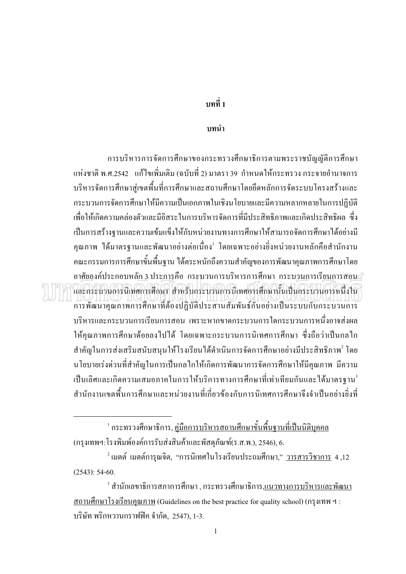# ำเทที่ 1

#### บทนำ

การบริหารการจัดการศึกษาของกระทรวงศึกษาธิการตามพระราชบัญญัติการศึกษา แห่งชาติ พ.ศ.2542 แก้ไขเพิ่มเติม (ฉบับที่ 2) มาตรา 39 กำหนดให้กระทรวง กระจายอำนาจการ ้ บริหารจัดการศึกษาสู่เขตพื้นที่การศึกษาและสถานศึกษาโดยยึดหลักการจัดระบบโครงสร้างและ ้กระบวนการจัดการศึกษาให้มีความเป็นเอกภาพในเชิงนโยบายและมีความหลากหลายในการปฏิบัติ ้เพื่อให้เกิดความคล่องตัวและมีอิสระในการบริหารจัดการที่มีประสิทธิภาพและเกิดประสิทธิผล ซึ่ง เป็นการสร้างฐานและความเข้มแข็งให้กับหน่วยงานทางการศึกษาให้สามารถจัดการศึกษาได้อย่างมี คุณภาพ ใด้มาตรฐานและพัฒนาอย่างต่อเนื่อง<sup>1</sup> โดยเฉพาะอย่างยิ่งหน่วยงานหลักคือสำนักงาน คณะกรรมการการศึกษาขั้นพื้นฐาน ใด้ตระหนักถึงความสำคัญของการพัฒนาคุณภาพการศึกษาโดย อาศัยองค์ประกอบหลัก 3 ประการคือ กระบวนการบริหารการศึกษา กระบวนการเรียนการสอน $\mathbb C$ และกระบวนการนิเทศการศึกษา สำหรับกระบวนการนิเทศการศึกษานั้นเป็นกระบวนการหนึ่งใน คารพัฒนาคุณภาพการศึกษาที่ต้องปฏิบัติประสานสัมพันธ์กันอย่างเป็นระบบกับกระบวนการ ้ บริหารและกระบวนการเรียนการสอน เพราะหากขาดกระบวนการใดกระบวนการหนึ่งอาจส่งผล ให้คุณภาพการศึกษาด้อยลงไปใด้ โดยเฉพาะกระบวนการนิเทศการศึกษา ซึ่งถือว่าเป็นกลใก ี สำคัญในการส่งเสริมสนับสนุนให้โรงเรียนได้ดำเนินการจัดการศึกษาอย่างมีประสิทธิภาพ<sup>2</sup> โดย ้นโยบายเร่งค่วนที่สำคัญในการเป็นกลไกให้เกิดการพัฒนาการจัดการศึกษาให้มีคุณภาพ มีความ ้เป็นเลิศและเกิดความเสมอภาคในการให้บริการทางการศึกษาที่เท่าเทียมกันและ ได้มาตรฐาน<sup>3</sup> ี<br>สำนักงานเขตพื้นการศึกษาและหน่วยงานที่เกี่ยวข้องกับการนิเทศการศึกษาจึงจำเป็นอย่างยิ่งที่

<sup>&</sup>lt;sup>ี เ</sup>กระทรวงศึกษาธิการ, <u>คู่มือการบริหารสถานศึกษาขั้นพื้นฐานที่เป็นนิติบุคคล</u> (กรุงเทพฯ:โรงพิมพ์องค์การรับส่งสินค้าและพัสดุภัณฑ์(ร.ส.พ.), 2546), 6.

<sup>ึ</sup> เมตต์ เมตต์การุณจิต, "การนิเทศในโรงเรียนประถมศึกษา," <u>วารสารวิชาการ</u> 4,12  $(2543): 54-60.$ 

<sup>ึ้</sup> สำนักเลขาธิการสภาการศึกษา . กระทรวงศึกษาธิการ.แนวทางการบริหารและพัฒนา ิ<u>สถานศึกษาโรงเรียนกุณภาพ</u> (Guidelines on the best practice for quality school) (กรุงเทพ ฯ : บริษัท พริกหวานกราฟฟิค จำกัด, 2547), 1-3.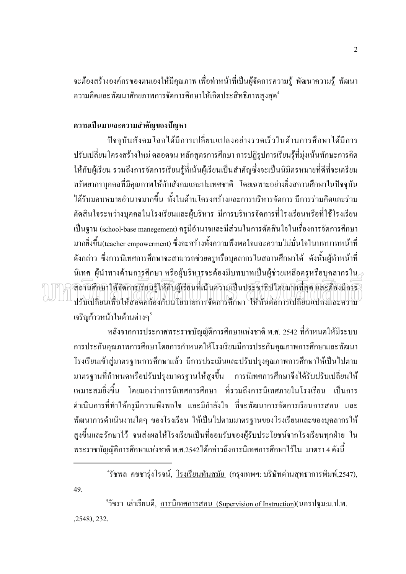้จะต้องสร้างองค์กรของตนเองให้มีคุณภาพ เพื่อทำหน้าที่เป็นผู้จัดการความรู้ พัฒนาความรู้ พัฒนา ิ ความคิดและพัฒนาศักยภาพการจัดการศึกษาให้เกิดประสิทธิภาพสูงสุด<sup>4</sup>

#### ความเป็นมาและความสำคัญของปัญหา

ปัจจุบันสังคมโลกใค้มีการเปลี่ยนแปลงอย่างรวดเร็วในด้านการศึกษาได้มีการ ปรับเปลี่ยนโครงสร้างใหม่ ตลอดจน หลักสูตรการศึกษา การปฏิรูปการเรียนรู้ที่มุ่งเน้นทักษะการคิด ให้กับผู้เรียน รวมถึงการจัดการเรียนรู้ที่เน้นผู้เรียนเป็นสำคัญซึ่งจะเป็นนิมิตรหมายที่ดีที่จะเตรียม ิทรัพยากรบุคคลที่มีคุณภาพให้กับสังคมและปะเทศชาติ โดยเฉพาะอย่างยิ่งสถานศึกษาในปัจจุบัน ใด้รับบอบหมายอำนาจมากขึ้น ทั้งในด้านโครงสร้างและการบริหารจัดการ มีการร่วมคิดและร่วม ตัดสินใจระหว่างบคคลในโรงเรียนและผ้บริหาร มีการบริหารจัดการที่โรงเรียนหรือที่ใช้โรงเรียน เป็นฐาน (school-base manegement) ครูมีอำนาจและมีส่วนในการตัดสินใจในเรื่องการจัดการศึกษา มากยิ่งขึ้น(teacher empowerment) ซึ่งจะสร้างทั้งความพึงพอใจและความไม่มั่นใจในบทบาทหน้าที่ ้ดังกล่าว ซึ่งการนิเทศการศึกษาจะสามารถช่วยครูหรือบุคลากรในสถานศึกษาได้ ดังนั้นผู้ทำหน้าที่ นิเทศ ผ้นำทางด้านการศึกษา หรือผ้บริหารจะต้องมีบทบาทเป็นผ้ช่วยเหลือครหรือบคลากรใน $\scriptstyle\mathcal{P}$ สถานศึกษาให้จัดการเรียนร้าให้กับผู้เรียนที่เน้นความเป็นประชาธิปไตยมากที่สุด และด้องมีการ ปรับเปลี่ยนเพื่อให้สอดคล้องกับนโยบายการจัดการศึกษา ให้ทันต่อการเปลี่ยนแปลงและความ ้เจริญก้าวหน้าในด้านต่างๆ<sup>ร</sup>

หลังจากการประกาศพระราชบัญญัติการศึกษาแห่งชาติ พ.ศ. 2542 ที่กำหนดให้มีระบบ ้การประกันคุณภาพการศึกษาโดยการกำหนดให้โรงเรียนมีการประกันคุณภาพการศึกษาและพัฒนา โรงเรียนเข้าสู่มาตรฐานการศึกษาแล้ว มีการประเมินและปรับปรุงคุณภาพการศึกษาให้เป็นไปตาม ิมาตรฐานที่กำหนดหรือปรับปรุงมาตรฐานให้สูงขึ้น การนิเทศการศึกษาจึงได้รับปรับเปลี่ยนให้ ้ เหมาะสมยิ่งขึ้น โดยมองว่าการนิเทศการศึกษา ที่รวมถึงการนิเทศภายในโรงเรียน เป็นการ ้คำเนินการที่ทำให้ครูมีความพึงพอใจ และมีกำลังใจ ที่จะพัฒนาการจัดการเรียนการสอน และ พัฒนาการดำเนินงานใดๆ ของโรงเรียน ให้เป็นไปตามมาตรฐานของโรงเรียนและของบุคลากรให้ ี่สูงขึ้นและรักษาไว้ จนส่งผลให้โรงเรียนเป็นที่ยอมรับของผู้รับประโยชน์จากโรงเรียนทุกฝ่าย ใน ี พระราชบัญญัติการศึกษาแห่งชาติ พ.ศ.2542 ได้กล่าวถึงการนิเทศการศึกษาไว้ใน มาตรา 4 ดังนี้

้รัชพล คชชารุ่งโรจน์, <u>โรงเรียนทันสมัย</u> (กรุงเทพฯ: บริษัทด่านสุทธาการพิมพ์,2547), 49.

้วัชรา เล่าเรียนดี, <u>การนิเทศการสอน (Supervision of Instruction</u>)(นครปฐม:ม.ป.พ.  $,2548)$ , 232.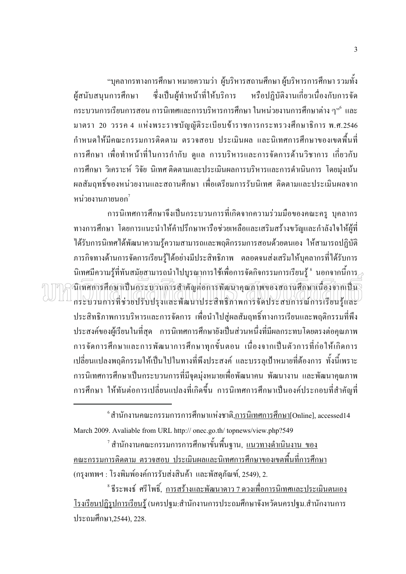"บุคลากรทางการศึกษา หมายความว่า ผู้บริหารสถานศึกษา ผู้บริหารการศึกษา รวมทั้ง ซึ่งเป็นผู้ทำหน้าที่ให้บริการ หรือปฏิบัติงานเกี่ยวเนื่องกับการจัด ผู้สนับสนุนการศึกษา ้กระบวนการเรียนการสอน การนิเทศและการบริหารการศึกษา ในหน่วยงานการศึกษาต่าง ๆ" และ ิมาตรา 20 วรรค 4 แห่งพระราชบัญญัติระเบียบข้าราชการกระทรวงศึกษาธิการ พ.ศ.2546 ้กำหนดให้มีคณะกรรมการติดตาม ตรวจสอบ ประเมินผล และนิเทศการศึกษาของเขตพื้นที่ ึการศึกษา เพื่อทำหน้าที่ในการกำกับ ดูแล การบริหารและการจัดการด้านวิชาการ เกี่ยวกับ ี การศึกษา วิเคราะห์ วิจัย นิเทศติดตามและประเมินผลการบริหารและการดำเนินการ โดยม่งเน้น ี่ผลสัมถทธิ์ของหน่วยงานและสถานศึกษา เพื่อเตรียมการรับนิเทศ ติดตามและประเมินผลจาก หน่วยงานภายนอก $^7$ 

ึการนิเทศการศึกษาจึงเป็นกระบวนการที่เกิดจากความร่วมมือของคณะคร บคลากร ทางการศึกษา โดยการแนะนำให้คำปรึกษาหารือช่วยเหลือและเสริมสร้างขวัญและกำลังใจให้ผู้ที่ ใค้รับการนิเทศได้พัฒนาความร้ความสามารถและพฤติกรรมการสอนด้วยตนเอง ให้สามารถปฏิบัติ ิภารกิจทางด้านการจัดการเรียนรู้ได้อย่างมีประสิทธิภาพ ตลอดจนส่งเสริมให้บุคลากรที่ได้รับการ นิเทศมีความร้ที่ทันสมัยสามารถนำไปบรณาการใช้เพื่อการจัดกิจกรรมการเรียนร้ $\degree$  นอกจากนี้การ $\scriptstyle\mathcal{>}$ นิเทศการศึกษาเป็นกระบวนการสำคัญต่อการพัฒนาคุณภาพของสถานศึกษาเนื่องจากเป็น กระบวนการที่ช่วยปรับปรงและพัฒนาประสิทธิภาพการจัดประสบการณ์การเรียนร้และ ประสิทธิภาพการบริหารและการจัดการ เพื่อนำไปสู่ผลสัมฤทธิ์ทางการเรียนและพฤติกรรมที่พึง ประสงค์ของผู้เรียนในที่สุด การนิเทศการศึกษายังเป็นส่วนหนึ่งที่มีผลกระทบโดยตรงต่อคุณภาพ ึการจัดการศึกษาและการพัฒนาการศึกษาทุกขั้นตอน เนื่องจากเป็นตัวการที่ก่อให้เกิดการ ้เปลี่ยนแปลงพฤติกรรมให้เป็นไปในทางที่พึงประสงค์ และบรรลุเป้าหมายที่ต้องการ ทั้งนี้เพราะ ึการนิเทศการศึกษาเป็นกระบวนการที่มีจุดมุ่งหมายเพื่อพัฒนาคน พัฒนางาน และพัฒนาคุณภาพ ึการศึกษา ให้ทันต่อการเปลี่ยนแปลงที่เกิดขึ้น การนิเทศการศึกษาเป็นองค์ประกอบที่สำคัญที่

ึ สำนักงานคณะกรรมการการศึกษาแห่งชาติ<u>,การนิเทศการศึกษา</u>[Online], accessed14

March 2009. Avaliable from URL http:// onec.go.th/ topnews/view.php?549

์ สำนักงานคณะกรรมการการศึกษาขั้นพื้นฐาน, <u>แนวทางดำเนินงาน ของ</u> <u>คณะกรรมการติดตาม ตรวจสอบ ประเมินผลและนิเทศการศึกษาของเขตพื้น</u>ที่การศึกษา (กรุงเทพฯ : โรงพิมพ์องค์การรับส่งสินค้า และพัสดุภัณฑ์, 2549), 2.

้ ธีระพงธ์ ศรีโพธิ์, การสร้างและพัฒนาดาว 7 ดวงเพื่อการนิเทศและประเมินตนเอง โรงเรียนปฏิรปการเรียนร้ (นครปฐม:สำนักงานการประถมศึกษาจังหวัดนครปฐม.สำนักงานการ ประถมศึกษา 2544), 228.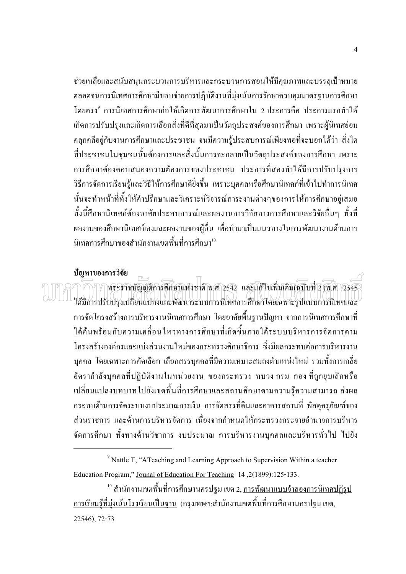ช่วยเหลือและสนับสนุนกระบวนการบริหารและกระบวนการสอนให้มีคุณภาพและบรรลุเป้าหมาย ตลอดจนการนิเทศการศึกษามีขอบข่ายการปฏิบัติงานที่มุ่งเน้นการรักษาควบคุมมาตรฐานการศึกษา โดยตรง°การนิเทศการศึกษาก่อให้เกิดการพัฒนาการศึกษาใน 2 ประการคือ ประการแรกทำให้ ้เกิดการปรับปรุงและเกิดการเลือกสิ่งที่ดีที่สุดมาเป็นวัตถุประสงค์ของการศึกษา เพราะผู้นิเทศย่อม ้คลุกคลีอยู่กับงานการศึกษาและประชาชน จนมีความรู้ประสบการณ์เพียงพอที่จะบอกได้ว่า สิ่งใด ที่ประชาชนในชุมชนนั้นต้องการและสิ่งนั้นควรจะกลายเป็นวัตถุประสงค์ของการศึกษา เพราะ ึการศึกษาต้องตอบสนองความต้องการของประชาชน ประการที่สองทำให้มีการปรับปรุงการ ้วิธีการจัดการเรียนรู้และวิธีให้การศึกษาดียิ่งขึ้น เพราะบุคคลหรือศึกษานิเทศก์ที่เข้าไปทำการนิเทศ นั้นจะทำหน้าที่ทั้งให้คำปรึกษาและวิเคราะห์วิจารณ์ภาระงานต่างๆของการให้การศึกษาอยู่เสมอ ทั้งนี้ศึกษานิเทศก์ต้องอาศัยประสบการณ์และผลงานการวิจัยทางการศึกษาและวิจัยอื่นๆ ทั้งที่ ผลงานของศึกษานิเทศก์เองและผลงานของผู้อื่น เพื่อนำมาเป็นแนวทางในการพัฒนางานด้านการ นิเทศการศึกษาของสำนักงานเขตพื้นที่การศึกษา<sup>เง</sup>

#### ปัญหาของการวิจัย

พระราชบัญญัติการศึกษาแห่งชาติ พ.ศ. 2542 และแก้ไบเพิ่มเดิม(ฉบับที่ 2 )พ.ศ. /2545 ใส่มีการปรับปรุงเปลี่ยนแปลงและพัฒนาระบบการนิเทศการศึกษาโดยเฉพาะรูปแบบการนิเทศและ ี การจัดโครงสร้างการบริหารงานนิเทศการศึกษา โดยอาศัยพื้นฐานปัญหา จากการนิเทศการศึกษาที่ ใด้ค้นพร้อมกับความเคลื่อนใหวทางการศึกษาที่เกิดขึ้นภายใต้ระบบบริหารการจัดการตาม โครงสร้างองค์กรและแบ่งส่วนงานใหม่ของกระทรวงศึกษาธิการ ซึ่งมีผลกระทบต่อการบริหารงาน ี บุคคล โดยเฉพาะการคัดเลือก เลือกสรรบุคคลที่มีความเหมาะสมลงตำแหน่งใหม่ รวมทั้งการเกลี่ย ้อัตรากำลังบุคคลที่ปฏิบัติงานในหน่วยงาน ของกระทรวง ทบวง กรม กอง ที่ถูกยุบเลิกหรือ ้เปลี่ยนแปลงบทบาทไปยังเขตพื้นที่การศึกษาและสถานศึกษาตามความรู้ความสามารถ ส่งผล ึกระทบค้านการจัดระบบงบประมาณการเงิน การจัดสรรที่ดินและอาคารสถานที่ พัสดุครุภัณฑ์ของ ส่วนราชการ และด้านการบริหารจัดการ เนื่องจากกำหนดให้กระทรวงกระจายอำนาจการบริหาร จัดการศึกษา ทั้งทางด้านวิชาการ งบประมาณ การบริหารงานบุคคลและบริหารทั่วไป ไปยัง

<sup>&</sup>lt;sup>9</sup> Nattle T, "ATeaching and Learning Approach to Supervision Within a teacher Education Program," Jounal of Education For Teaching 14, 2(1899): 125-133.

<sup>&</sup>lt;sup>10</sup> สำนักงานเขตพื้นที่การศึกษานครปฐม เขต 2, <u>การพัฒนาแบบจำลองการนิเทศปฏิรูป</u> ้การเรียนรู้ที่ม่งเน้นโรงเรียนเป็นจาน (กรงเทพฯ:สำนักงานเขตพื้นที่การศึกษานครปจม เขต. 22546), 72-73.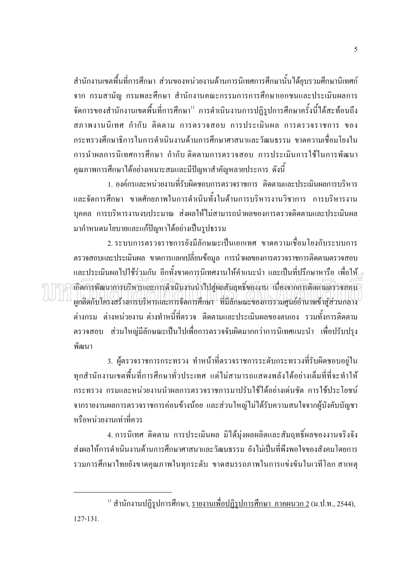ี สำนักงานเขตพื้นที่การศึกษา ส่วนของหน่วยงานด้านการนิเทศการศึกษานั้นได้ยุบรวมศึกษานิเทศก์ ิจาก กรมสามัญ กรมพละศึกษา สำนักงานคณะกรรมการการศึกษาเอกชนและประเมินผลการ ้จัดการของสำนักงานเขตพื้นที่การศึกษา" การคำเนินงานการปฏิรูปการศึกษาครั้งนี้ได้สะท้อนถึง ีสภาพงานนิเทศ กำกับ ติดตาม การตรวจสอบ การประเมินผล การตรวจราชการ ของ ้กระทรวงศึกษาธิการในการดำเนินงานด้านการศึกษาศาสนาและวัฒนธรรม ขาดความเชื่อมโยงใน ้การนำผลการนิเทศการศึกษา กำกับ ติดตามการตรวจสอบ การประเมินการใช้ในการพัฒนา ้คุณภาพการศึกษาได้อย่างเหมาะสมและมีปัญหาสำคัญหลายประการ ดังนี้

1. องค์กรและหน่วยงานที่รับผิดชอบการตรวจราชการ ติดตามและประเมินผลการบริหาร ้และจัดการศึกษา ขาดศักยภาพในการดำเนินทั้งในด้านการบริหารงานวิชาการ การบริหารงาน ิบุคคล การบริหารงานงบประมาณ ส่งผลให้ไม่สามารถนำผลของการตรวจติดตามและประเมินผล มากำหนดนโยบายและแก้ปัญหาได้อย่างเป็นรูปธรรม

่ 2. ระบบการตรวจราชการยังมีลักษณะเป็นเอกเทศ ขาดความเชื่อมโยงกับระบบการ ิตรวจสอบและประเมินผล ขาดการแลกเปลี่ยนข้อมูล การนำผลของการตรวจราชการติดตามตรวจสอบ และประเมินผลไปใช้ร่<u>ว</u>มกัน อีกทั้งขาดกา<u>ร</u>นิเทศงานให้คำแนะนำ และเป็นที่ปรึกษาหารือ เพื่อให้<sub>⁄?</sub> เกิดการพัฒนาการบริหารและการดำเนินงานนำไปสู่ผลสัมฤทธิ์ของงาน เนื่องจากการติดตามตรวจสอบ ผูกติดกับโครงสร้างการบริหารและการจัดการศึกษา ที่มีลักษณะของการรวมศูนย์อำนาจเข้าสู่ส่วนกลาง ้ต่างกรม ต่างหน่วยงานต่างทำหนี้ที่ตรวจ ติดตามและประเมินผลของตนเอง รวมทั้งการติดตาม ้ตรวจสอบ ส่วนใหญ่มีลักษณะเป็นไปเพื่อการตรวจจับผิดมากกว่าการนิเทศแนะนำ เพื่อปรับปรุง พัฒนา

3. ผู้ตรวจราชการกระทรวง ทำหน้าที่ตรวจราชการระดับกระทรวงที่รับผิดชอบอยู่ใน ทุกสำนักงานเขตพื้นที่การศึกษาทั่วประเทศ แต่ไม่สามารถแสดงพลังได้อย่างเต็มที่ที่จะทำให้ ้กระทรวง กรมและหน่วยงานนำผลการตรวจราชการมาปรับใช้ได้อย่างเด่นชัด การใช้ประโยชน์ ึ่งากรายงานผลการตรวจราชการค่อนข้างน้อย และส่วนใหญ่ไม่ได้รับความสนใจจากผู้บังคับบัญชา หรือหน่วยงานเท่าที่ควร

4. การนิเทศ ติดตาม การประเมินผล มิได้ม่งผลผลิตและสัมถุทธิ์ผลของงานจริงจัง ้ส่งผลให้การคำเนินงานด้านการศึกษาศาสนาและวัฒนธรรม ยังไม่เป็นที่พึงพอใจของสังคมโดยการ รวมการศึกษาไทยยังขาดคุณภาพในทุกระดับ ขาดสมรรถภาพในการแข่งขันในเวทีโลก สาเหตุ

<sup>&</sup>lt;sup>11</sup> สำนักงานปฏิรูปการศึกษา, <u>รายงานเพื่อปฏิรูปการศึกษา ภาคผนวก 2</u> (ม.ป.ท., 2544),  $127 - 131.$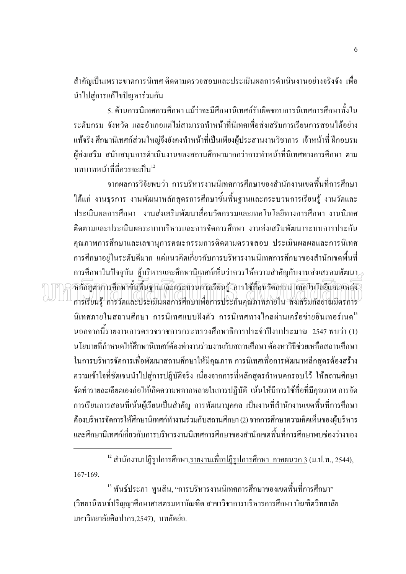ี สำคัญเป็นเพราะขาดการนิเทศ ติดตามตรวจสอบและประเมินผลการคำเนินงานอย่างจริงจัง เพื่อ นำไปสู่การแก้ไขปัญหาร่วมกัน

5. ด้านการนิเทศการศึกษา แม้ว่าจะมีศึกษานิเทศก์รับผิดชอบการนิเทศการศึกษาทั้งใน ้ระดับกรม จังหวัด และอำเภอแต่ไม่สามารถทำหน้าที่นิเทศเพื่อส่งเสริมการเรียนการสอนได้อย่าง แท้จริง ศึกษานิเทศก์ส่วนใหญ่จึงยังคงทำหน้าที่เป็นเพียงผู้ประสานงานวิชาการ เจ้าหน้าที่ ฝึกอบรม ้ผู้ส่งเสริม สนับสนุนการดำเนินงานของสถานศึกษามากกว่าการทำหน้าที่นิเทศทางการศึกษา ตาม ำเทบาทหน้าที่ที่ควรจะเป็น<sup>12</sup>

ิจากผลการวิจัยพบว่า การบริหารงานนิเทศการศึกษาของสำนักงานเขตพื้นที่การศึกษา ได้แก่ งานธุรการ งานพัฒนาหลักสูตรการศึกษาขั้นพื้นฐานและกระบวนการเรียนรู้ งานวัดและ ้ ประเบิบผลการศึกษา งาบส่งเสริมพัฒนาสื่อบวัตกรรมและเทคโบโลยีทางการศึกษา งาบบิเทศ ้ติดตามและประเมินผลระบบบริหารและการจัดการศึกษา งานส่งเสริมพัฒนาระบบการประกัน ึคณภาพการศึกษาและเลขานการคณะกรรมการติดตามตรวจสอบ ประเมินผลผลและการนิเทศ ี การศึกษาอยู่ในระดับดีมาก แต่แนวคิดเกี่ยวกับการบริหารงานนิเทศการศึกษาของสำนักเขตพื้นที่ ึการศึกษาในปัจจบัน ผ้บริหารและศึกษานิเทศก์เห็นว่าควรให้ความสำคัญกับงานส่งเสรอมพัฒนา หลักสูตรการศึกษาขั้นพื้นจานและกระบวนการเรียนรู้ การใช้สื่อนวัตกรรม เทคโนโลยีและแหล่ง การเรียนรู้ การวัดและประเมินผลการศึกษาเพื่อการประกันคุณภาพภายใน ส่งเสริมกัลยาณมิตรการ นิเทศภายในสถานศึกษา การนิเทศแบบฝังตัว การนิเทศทางไกลผ่านเครือข่ายอินเทอร์เนต<sup>ูเร</sup> ้นอกจากนี้รายงานการตรวจราชการกระทรวงศึกษาธิการประจำปีงบประมาณ 2547 พบว่า (1) ินโยบายที่กำหนดให้ศึกษานิเทศก์ต้องทำงานร่วมงานกับสถานศึกษา ต้องหาวิธีช่วยเหลือสถานศึกษา ในการบริหารจัดการเพื่อพัฒนาสถานศึกษาให้มีคุณภาพ การนิเทศเพื่อการพัฒนาหลีกสูตรต้องสร้าง ้ความเข้าใจที่ชัดเจนนำไปสู่การปฏิบัติจริง เนื่องจากการที่หลักสูตรกำหนดกรอบไว้ ให้สถานศึกษา จัดทำรายละเอียดเองก่อให้เกิดความหลากหลายในการปฏิบัติ เน้นให้มีการใช้สื่อที่มีคุณภาพ การจัด ึการเรียนการสอนที่เน้นผู้เรียนเป็นสำคัญ การพัฒนาบุคคล เป็นงานที่สำนักงานเขตพื้นที่การศึกษา ้ต้องบริหารจัดการให้ศึกษานิเทศก์ทำงานร่วมกับสถานศึกษา (2) จากการศึกษาความคิดเห็นของผ้บริหาร และศึกษานิเทศก์เกี่ยวกับการบริหารงานนิเทศการศึกษาของสำนักเขตพื้นที่การศึกษาพบช่องว่างของ

 $^{\,13}$  พันธ์ประภา พนสิน, "การบริหารงานนิเทศการศึกษาของเขตพื้นที่การศึกษา" (วิทยานิพนธ์ปริณญาศึกษาศาสตรมหาบัณฑิต สาขาวิชาการบริหารการศึกษา บัณฑิตวิทยาลัย มหาวิทยาลัยศิลปากร.2547). บทคัดย่อ.

<sup>&</sup>lt;sup>12</sup> สำนักงานปฏิรูปการศึกษา<u>,รายงานเพื่อปฏิรูปการศึกษา ภาคผนวก 3</u> (ม.ป.ท., 2544),  $167 - 169$ .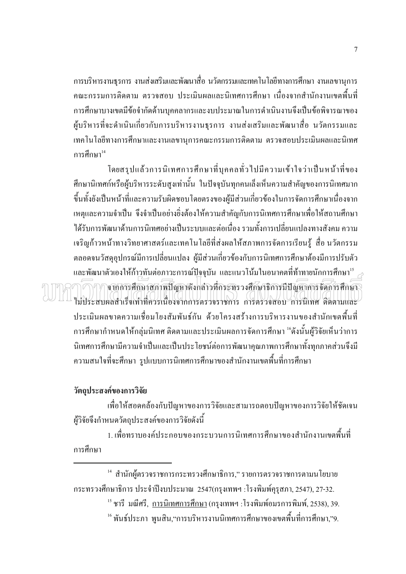ิการบริหารงานธุรการ งานส่งเสริมและพัฒนาสื่อ นวัตกรรมและเทคโนโลยีทางการศึกษา งานเลขานุการ ้ คณะกรรมการติดตาม ตรวจสอบ ประเมินผลและนิเทศการศึกษา เนื่องจากสำนักงานเขตพื้นที่ การศึกษาบางเขตมีข้อจำกัดด้านบุคคลากรและงบประมาณในการดำเนินงานจึงเป็นข้อพิจารณาของ ผู้บริหารที่จะคำเนินเกี่ยวกับการบริหารงานธุรการ งานส่งเสริมและพัฒนาสื่อ นวัตกรรมและ ้เทคโนโลยีทางการศึกษาและงานเลขานุการคณะกรรมการติดตาม ตรวจสอบประเมินผลและนิเทศ การศึกนา<sup>14</sup>

โดยสรปแล้วการนิเทศการศึกษาที่บคคลทั่วไปมีความเข้าใจว่าเป็นหน้าที่ของ ้ศึกษานิเทศก์หรือผู้บริหารระดับสูงเท่านั้น ในปัจจุบันทุกคนเล็งเห็นความสำคัญของการนิเทศมาก ขึ้นทั้งยังเป็นหน้าที่และความรับผิดชอบโดยตรงของผู้มีส่วนเกี่ยวข้องในการจัดการศึกษาเนื่องจาก ้เหตุและความจำเป็น จึงจำเป็นอย่างยิ่งต้องให้ความสำคัญกับการนิเทศการศึกษาเพื่อให้สถานศึกษา ใค้รับการพัฒนาด้านการนิเทศอย่างเป็นระบบและต่อเนื่อง รวมทั้งการเปลี่ยนแปลงทางสังคม ความ ้ เจริญก้าวหน้าทางวิทยาศาสตร์และเทคโนโลยีที่ส่งผลให้สภาพการจัดการเรียนร้ สื่อ นวัตกรรม ้ตลอดจนวัสดุอุปกรณ์มีการเปลี่ยนแปลง ผู้มีส่วนเกี่ยวข้องกับการนิเทศการศึกษาต้องมีการปรับตัว และพัฒนาตัวเองให้ก้า<u>ว</u>ทันต่อภาวะการณ์ปัจจุบัน และแนวโน้มในอนาคตที่ท้าทายนักการศึกษา<sup>เร</sup> จากการศึกษาสภาพปัญหาดังกล่าวที่กระทรวงศึกษาธิการมีปัญหาการจัดการศึกษา ใบ่ประสบผลสำเร็จเท่าที่ควรเนื่องจากการตรวจราชการ การตรวจสอบ การนิเทศ ติดตามและ ประเมินผลขาดความเชื่อมโยงสัมพันธ์กัน ด้วยโครงสร้างการบริหารงานของสำนักเขตพื้นที่ การศึกษากำหนดให้กลุ่มนิเทศ ติดตามและประเมินผลการจัดการศึกษา <sup>เ</sup>ด๊งนั้นผู้วิจัยเห็นว่าการ นิเทศการศึกษามีความจำเป็นและเป็นประโยชน์ต่อการพัฒนาคุณภาพการศึกษาทั้งทุกภาคส่วนจึงมี ้ความสนใจที่จะศึกษา รูปแบบการนิเทศการศึกษาของสำนักงานเขตพื้นที่การศึกษา

## วัตถุประสงค์ของการวิจัย

เพื่อให้สอดคล้องกับปัญหาของการวิจัยและสามารถตอบปัญหาของการวิจัยให้ชัดเจน ผู้วิจัยจึงกำหนดวัตถุประสงค์ของการวิจัยดังนี้

1. เพื่อทราบองค์ประกอบของกระบวนการนิเทศการศึกษาของสำนักงานเขตพื้นที่ การศึกษา

 $^{\rm 14}$  สำนักผู้ตรวจราชการกระทรวงศึกษาธิการ," รายการตรวจราชการตามน โยบาย กระทรวงศึกษาธิการ ประจำปีงบประมาณ 2547(กรุงเทพฯ : โรงพิมพ์คุรุสภา, 2547), 27-32.

 $^{15}$ ชารี มณีศรี, การนิเทศการศึกษา (กรงเทพฯ :โรงพิมพ์อมรการพิมพ์, 2538), 39.

<sup>&</sup>lt;sup>16</sup> พันธ์ประภา พนสิน."การบริหารงานนิเทศการศึกษาของเขตพื้นที่การศึกษา."9.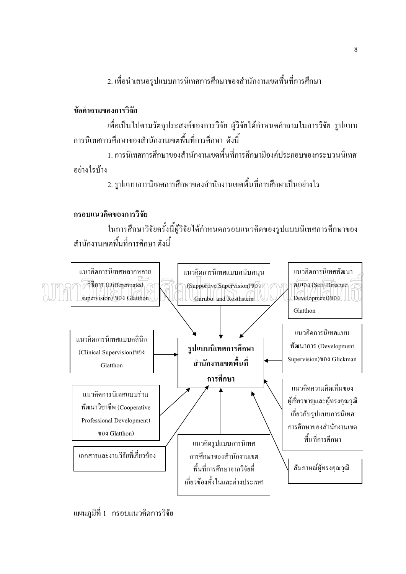2. เพื่อนำเสนอรูปแบบการนิเทศการศึกษาของสำนักงานเขตพื้นที่การศึกษา

## ข้อคำถามของการวิจัย

้เพื่อเป็นไปตามวัตถุประสงค์ของการวิจัย ผู้วิจัยได้กำหนดคำถามในการวิจัย รูปแบบ ้การนิเทศการศึกนาของสำนักงานเขตพื้นที่การศึกนา ดังนี้

1 การนิเทศการศึกนาของสำนักงานเขตพื้นที่การศึกนามีองค์ประกอบของกระบวนนิเทศ อย่างไรบ้าง

่ 2. รูปแบบการนิเทศการศึกษาของสำนักงานเขตพื้นที่การศึกษาเป็นอย่างไร

## กรอบแนวคิดของการวิจัย

ในการศึกษาวิจัยครั้งนี้ผู้วิจัยได้กำหนดกรอบแนวคิดของรูปแบบนิเทศการศึกษาของ สำนักงานเขตพื้นที่การศึกษา ดังนี้



ี แผนภูมิที่ 1 กรอบแนวคิดการวิจัย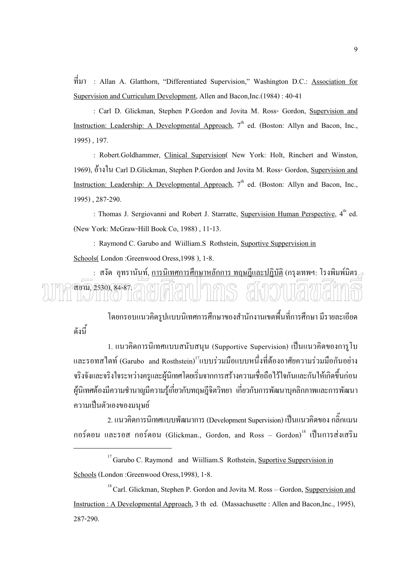( : Allan A. Glatthorn, "Differentiated Supervision," Washington D.C.: Association for Supervision and Curriculum Development, Allen and Bacon,Inc.(1984) : 40-41

 : Carl D. Glickman, Stephen P.Gordon and Jovita M. Ross- Gordon, Supervision and Instruction: Leadership: A Developmental Approach,  $7<sup>th</sup>$  ed. (Boston: Allyn and Bacon, Inc., 1995) , 197.

 : Robert.Goldhammer, Clinical Supervision( New York: Holt, Rinchert and Winston, 1969), อ้างใน Carl D.Glickman, Stephen P.Gordon and Jovita M. Ross- Gordon, Supervision and Instruction: Leadership: A Developmental Approach,  $7<sup>th</sup>$  ed. (Boston: Allyn and Bacon, Inc., 1995) , 287-290.

: Thomas J. Sergiovanni and Robert J. Starratte, Supervision Human Perspective.  $4<sup>th</sup>$  ed. (New York: McGraw-Hill Book Co, 1988) , 11-13.

 : Raymond C. Garubo and Wiilliam.S Rothstein, Suportive Suppervision in Schools( London :Greenwood Oress,1998 ), 1-8.

: สงัด อุทรานับท์, <u>การนิเทศการศึกษาหลักการ ทฤษฎีและปฎิบัติ</u> (กรุงเทพฯ: โรงพิมพ์มิตร สยาม, 2530), 84-87.

โดยกรอบแนวกิดรูปแบบนิเทศการศึกษาของสำนักงานเขตพื้นที่การศึกษา มีรายละเอียด ดังนี้

1. แนวกิดการนิเทศแบบสนับสนุน (Supportive Supervision) เป็นแนวกิดของการูโบ และรอทสไตท์ (Garubo) and Rosthstein)<sup>เ7</sup>แบบร่วมมือแบบหนึ่งที่ต้องอาศัยความร่วมมือกันอย่าง จริงจังและจริงใจระหว่างครูและผู้นิเทศโดยเริ่มจากการสร้างความเชื่อถือไว้ใจกันและกันให้เกิดขึ้นก่อน  $\ddot{\phantom{a}}$  $\ddot{\phantom{a}}$ ĺ ผู้นิเทศต้องมีความชำนาญมีความรู้เกี่ยวกับทฤษฎีจิตวิทยา เกี่ยวกับการพัฒนาบุคลิกภาพและการพัฒนา ความเป็นตัวเองของมนุษย์

2. แนวกิดการนิเทศแบบพัฒนาการ (Development Supervision) เป็นแนวกิดของ กลิ๊กแมน กอร์ดอน และรอส กอร์ดอน (Glickman., Gordon, and Ross – Gordon)<sup>เร</sup> เป็นการส่งเสริม

<sup>&</sup>lt;sup>17</sup> Garubo C. Raymond and Wiilliam.S Rothstein, Suportive Suppervision in Schools (London :Greenwood Oress, 1998), 1-8.<br><sup>18</sup>Carl. Glickman, Stephen P. Gordon and Jovita M. Ross – Gordon, Suppervision and

Instruction : A Developmental Approach, 3 th ed. (Massachusette : Allen and Bacon,Inc., 1995), 287-290.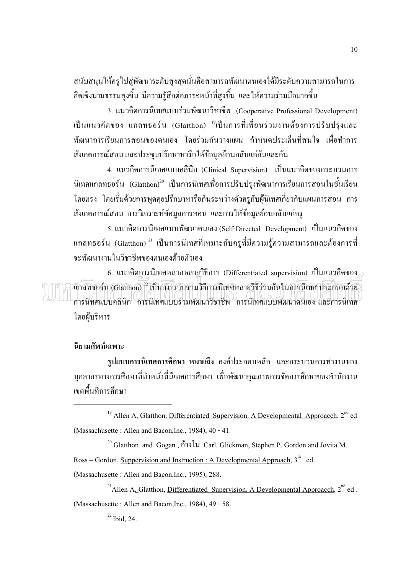สนับสนุนให้ครูไปสู่พัฒนาระดับสูงสุดนั่นคือสามารถพัฒนาตนเองได้มีระดับความสามารถในการ คิดเชิงนามธรรมสูงขึ้น มีความรู้สึกต่อภาระหน้าที่สูงขึ้น และให้ความร่วมมือมากขึ้น ֖֚֚֚֚֡֝<br>֧֖ׅ֖֧֚֚֚֚֚֚֚֚֚֚֚֚֚֚֚֚֚֚֚֚֚֚֚֚֚֚֚֚֝֩֡֡֡֡֬֝<br>֧֪֚֚֝ ĺ

3. แนวคิดการนิเทศแบบร่วมพัฒนาวิชาชีพ (Cooperative Professional Development) เป็นแนวคิดของ แกลทธอร์น (Glatthon) <sup>เว</sup>เป็นการที่เพื่อนร่วมงานต้องการปรับปรุงและ พัฒนาการเรียนการสอนของตนเอง โดยร่วมกันวางแผน กำหนดประเด็นที่สนใจ เพื่อทำการ สังเกตการณ์สอน และประชุมปรึกษาหารือให้ข้อมูลย้อนกลับแก่กันและกัน

4. แนวกิดการนิเทศแบบคลินิก (Clinical Supervision) เป็นแนวกิดของกระบวนการ นิเทศแกลทธอร์น (Glatthon)<sup>20</sup> เป็นการนิเทศเพื่อการปรับปรุงพัฒนาการเรียนการสอนในชั้นเรียน โดยตรง โดยเริ่มด้วยการพูดคุยปรึกษาหารือกันระหว่างตัวครูกับผู้นิเทศเกี่ยวกับแผนการสอน การ  $\ddot{\phantom{a}}$ สังเกตการณ์สอน การวิเคราะห์ข้อมูลการสอน และการให้ข้อมูลย้อนกลับแก่ครู

5. แนวคิดการนิเทศแบบพัฒนาตนเอง (Self-Directed Development) เป็นแนวกิดของ แกลทธอร์น (Glatthon)  $^{\mathsf{21}}$  เป็นการนิเทศที่เหมาะกับครูที่มีความรู้ความสามารถและต้องการที่ จะพัฒนางานในวิชาชีพของตนเองค้วยตัวเอง

6. แนวกิดการนิเทศหลากหลายวิธีการ (Differentiated supervision) เป็นแนวกิดของ แกลทธอร์น (Glatthon) <sup>22</sup> เป็นการรวบรวมวิธีการนิเทศหลายวิธีร่วมกันในการนิเทศ ประกอบด้วย การนิทศแบบคลีนิก การนิเทศแบบร่วมพัฒนาวิชาชีพ การนิเทศแบบพัฒนาตนเอง และการนิเทศ โดยผู้บริหาร

## ี่นิยามศัพท์เอพาะ

**รูปแบบการนิเทศการศึกษา หมายถึง** องค์ประกอบหลัก และกระบวนการทำงานของ บุคลากรทางการศึกษาที่ทำหน้าที่นิเทศการศึกษา เพื่อพัฒนาคุณภาพการจัดการศึกษาของสำนักงาน  $\begin{array}{c} \hline \end{array}$ เขตพื้นที่การศึกษา ֖֖֖֖֪ׅ֪֪ׅ֖֧֧֧֪ׅ֖֧֧֧֪ׅ֧֧֪֪֧֚֚֚֚֚֚֚֚֚֚֚֚֚֚֚֚֚֚֡֡֝֟֓֡֡֡֝֬֝֟֝֝֟֓֡֞֟֓֝֬֝֝֝֬֝֝<br>֧֪֧֪֪֧֪֪֪֧֪֪֪֪֪֪֪֪֪֪֪֪֪֛֪֪֪֪֪֪֪֛֝֝֝֝֩  $\overline{a}$ 

<sup>&</sup>lt;sup>19</sup> Allen A. Glatthon, Differentiated Supervision. A Developmental Approacch,  $2^{nd}$  ed

<sup>(</sup>Massachusette : Allen and Bacon,Inc., 1984), 40 - 41.<br><sup>20</sup> Glatthon and Gogan,  $\stackrel{\circ}{0}$ 19<sup>1</sup>l Carl. Glickman, Stephen P. Gordon and Jovita M. Ross – Gordon, <u>Suppervision and Instruction : A Developmental Approach</u>,  $3<sup>th</sup>$  ed. (Massachusette : Allen and Bacon,Inc., 1995), 288.<br><sup>21</sup>Allen A. Glatthon, Differentiated Supervision. A Developmental Approacch, 2<sup>nd</sup> ed .

<sup>(</sup>Massachusette : Allen and Bacon, Inc., 1984), 49 - 58.<br><sup>22</sup> Ibid, 24.